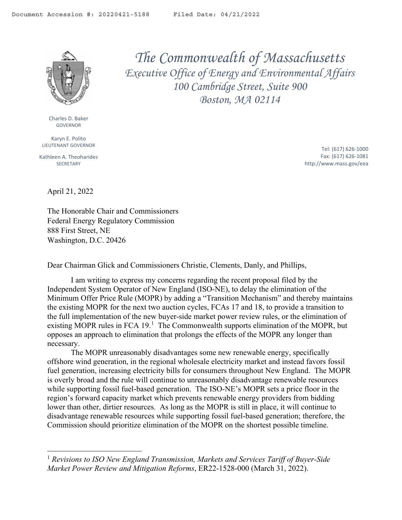<span id="page-0-1"></span>

Charles D. Baker GOVERNOR

Karyn E. Polito LIEUTENANT GOVERNOR

Kathleen A. Theoharides **SECRETARY** 

*The Commonwealth of Massachusetts Executive Office of Energy and Environmental Affairs 100 Cambridge Street, Suite 900 Boston, MA 02114*

> Tel: (617) 626-1000 Fax: (617) 626-1081 http://www.mass.gov/eea

April 21, 2022

The Honorable Chair and Commissioners Federal Energy Regulatory Commission 888 First Street, NE Washington, D.C. 20426

Dear Chairman Glick and Commissioners Christie, Clements, Danly, and Phillips,

I am writing to express my concerns regarding the recent proposal filed by the Independent System Operator of New England (ISO-NE), to delay the elimination of the Minimum Offer Price Rule (MOPR) by adding a "Transition Mechanism" and thereby maintains the existing MOPR for the next two auction cycles, FCAs 17 and 18, to provide a transition to the full implementation of the new buyer-side market power review rules, or the elimination of existing MOPR rules in FCA  $19$  $19$ .<sup>1</sup> The Commonwealth supports elimination of the MOPR, but opposes an approach to elimination that prolongs the effects of the MOPR any longer than necessary.

The MOPR unreasonably disadvantages some new renewable energy, specifically offshore wind generation, in the regional wholesale electricity market and instead favors fossil fuel generation, increasing electricity bills for consumers throughout New England. The MOPR is overly broad and the rule will continue to unreasonably disadvantage renewable resources while supporting fossil fuel-based generation. The ISO-NE's MOPR sets a price floor in the region's forward capacity market which prevents renewable energy providers from bidding lower than other, dirtier resources. As long as the MOPR is still in place, it will continue to disadvantage renewable resources while supporting fossil fuel-based generation; therefore, the Commission should prioritize elimination of the MOPR on the shortest possible timeline.

<span id="page-0-0"></span><sup>1</sup> *Revisions to ISO New England Transmission, Markets and Services Tariff of Buyer-Side Market Power Review and Mitigation Reforms*, ER22-1528-000 (March 31, 2022).